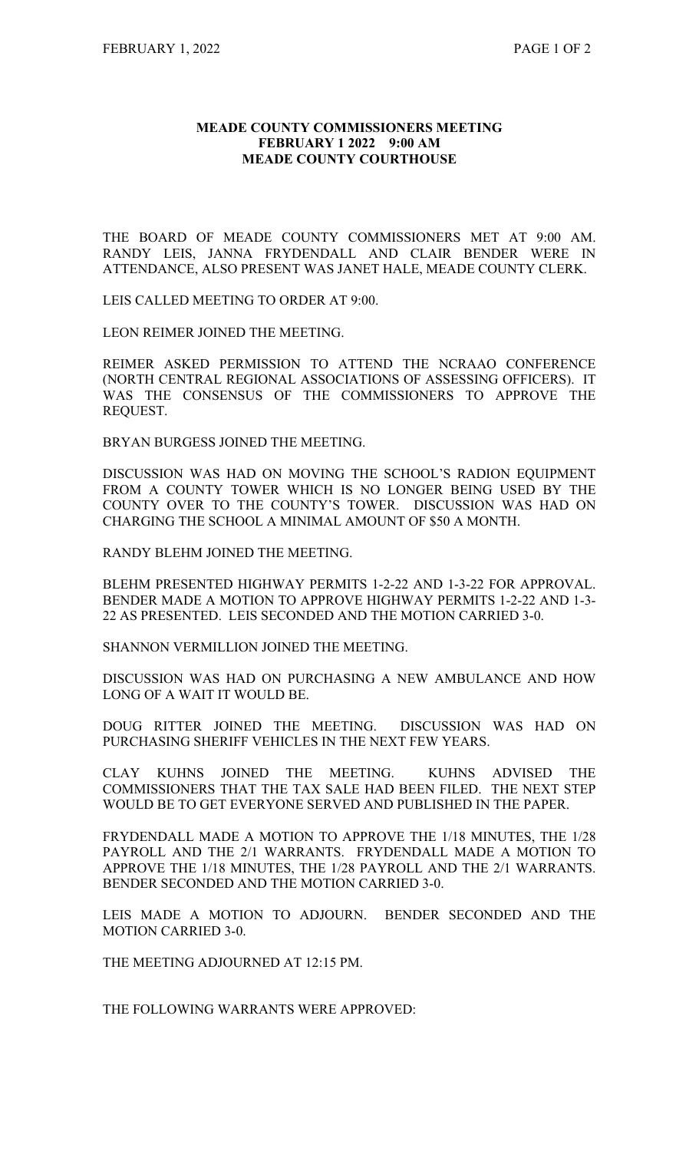## **MEADE COUNTY COMMISSIONERS MEETING FEBRUARY 1 2022 9:00 AM MEADE COUNTY COURTHOUSE**

THE BOARD OF MEADE COUNTY COMMISSIONERS MET AT 9:00 AM. RANDY LEIS, JANNA FRYDENDALL AND CLAIR BENDER WERE IN ATTENDANCE, ALSO PRESENT WAS JANET HALE, MEADE COUNTY CLERK.

LEIS CALLED MEETING TO ORDER AT 9:00.

LEON REIMER JOINED THE MEETING.

REIMER ASKED PERMISSION TO ATTEND THE NCRAAO CONFERENCE (NORTH CENTRAL REGIONAL ASSOCIATIONS OF ASSESSING OFFICERS). IT WAS THE CONSENSUS OF THE COMMISSIONERS TO APPROVE THE REQUEST.

BRYAN BURGESS JOINED THE MEETING.

DISCUSSION WAS HAD ON MOVING THE SCHOOL'S RADION EQUIPMENT FROM A COUNTY TOWER WHICH IS NO LONGER BEING USED BY THE COUNTY OVER TO THE COUNTY'S TOWER. DISCUSSION WAS HAD ON CHARGING THE SCHOOL A MINIMAL AMOUNT OF \$50 A MONTH.

RANDY BLEHM JOINED THE MEETING.

BLEHM PRESENTED HIGHWAY PERMITS 1-2-22 AND 1-3-22 FOR APPROVAL. BENDER MADE A MOTION TO APPROVE HIGHWAY PERMITS 1-2-22 AND 1-3- 22 AS PRESENTED. LEIS SECONDED AND THE MOTION CARRIED 3-0.

SHANNON VERMILLION JOINED THE MEETING.

DISCUSSION WAS HAD ON PURCHASING A NEW AMBULANCE AND HOW LONG OF A WAIT IT WOULD BE.

DOUG RITTER JOINED THE MEETING. DISCUSSION WAS HAD ON PURCHASING SHERIFF VEHICLES IN THE NEXT FEW YEARS.

CLAY KUHNS JOINED THE MEETING. KUHNS ADVISED THE COMMISSIONERS THAT THE TAX SALE HAD BEEN FILED. THE NEXT STEP WOULD BE TO GET EVERYONE SERVED AND PUBLISHED IN THE PAPER.

FRYDENDALL MADE A MOTION TO APPROVE THE 1/18 MINUTES, THE 1/28 PAYROLL AND THE 2/1 WARRANTS. FRYDENDALL MADE A MOTION TO APPROVE THE 1/18 MINUTES, THE 1/28 PAYROLL AND THE 2/1 WARRANTS. BENDER SECONDED AND THE MOTION CARRIED 3-0.

LEIS MADE A MOTION TO ADJOURN. BENDER SECONDED AND THE MOTION CARRIED 3-0.

THE MEETING ADJOURNED AT 12:15 PM.

THE FOLLOWING WARRANTS WERE APPROVED: